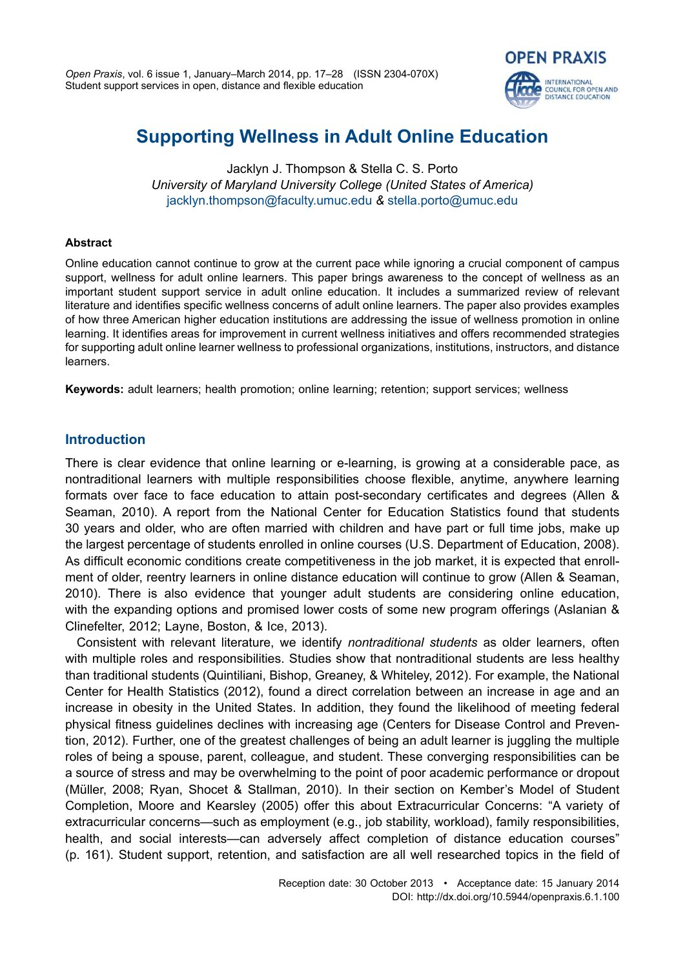

# **Supporting Wellness in Adult Online Education**

Jacklyn J. Thompson & Stella C. S. Porto *University of Maryland University College (United States of America)* [jacklyn.thompson@faculty.umuc.edu](mailto:jacklyn.thompson%40faculty.umuc.edu?subject=) *&* [stella.porto@umuc.edu](mailto:stella.porto@umuc.edu)

## **Abstract**

Online education cannot continue to grow at the current pace while ignoring a crucial component of campus support, wellness for adult online learners. This paper brings awareness to the concept of wellness as an important student support service in adult online education. It includes a summarized review of relevant literature and identifies specific wellness concerns of adult online learners. The paper also provides examples of how three American higher education institutions are addressing the issue of wellness promotion in online learning. It identifies areas for improvement in current wellness initiatives and offers recommended strategies for supporting adult online learner wellness to professional organizations, institutions, instructors, and distance learners.

**Keywords:** adult learners; health promotion; online learning; retention; support services; wellness

# **Introduction**

There is clear evidence that online learning or e-learning, is growing at a considerable pace, as nontraditional learners with multiple responsibilities choose flexible, anytime, anywhere learning formats over face to face education to attain post-secondary certificates and degrees (Allen & Seaman, 2010). A report from the National Center for Education Statistics found that students 30 years and older, who are often married with children and have part or full time jobs, make up the largest percentage of students enrolled in online courses (U.S. Department of Education, 2008). As difficult economic conditions create competitiveness in the job market, it is expected that enrollment of older, reentry learners in online distance education will continue to grow (Allen & Seaman, 2010). There is also evidence that younger adult students are considering online education, with the expanding options and promised lower costs of some new program offerings (Aslanian & Clinefelter, 2012; Layne, Boston, & Ice, 2013).

Consistent with relevant literature, we identify *nontraditional students* as older learners, often with multiple roles and responsibilities. Studies show that nontraditional students are less healthy than traditional students (Quintiliani, Bishop, Greaney, & Whiteley, 2012). For example, the National Center for Health Statistics (2012), found a direct correlation between an increase in age and an increase in obesity in the United States. In addition, they found the likelihood of meeting federal physical fitness guidelines declines with increasing age (Centers for Disease Control and Prevention, 2012). Further, one of the greatest challenges of being an adult learner is juggling the multiple roles of being a spouse, parent, colleague, and student. These converging responsibilities can be a source of stress and may be overwhelming to the point of poor academic performance or dropout (Müller, 2008; Ryan, Shocet & Stallman, 2010). In their section on Kember's Model of Student Completion, Moore and Kearsley (2005) offer this about Extracurricular Concerns: "A variety of extracurricular concerns—such as employment (e.g., job stability, workload), family responsibilities, health, and social interests—can adversely affect completion of distance education courses" (p. 161). Student support, retention, and satisfaction are all well researched topics in the field of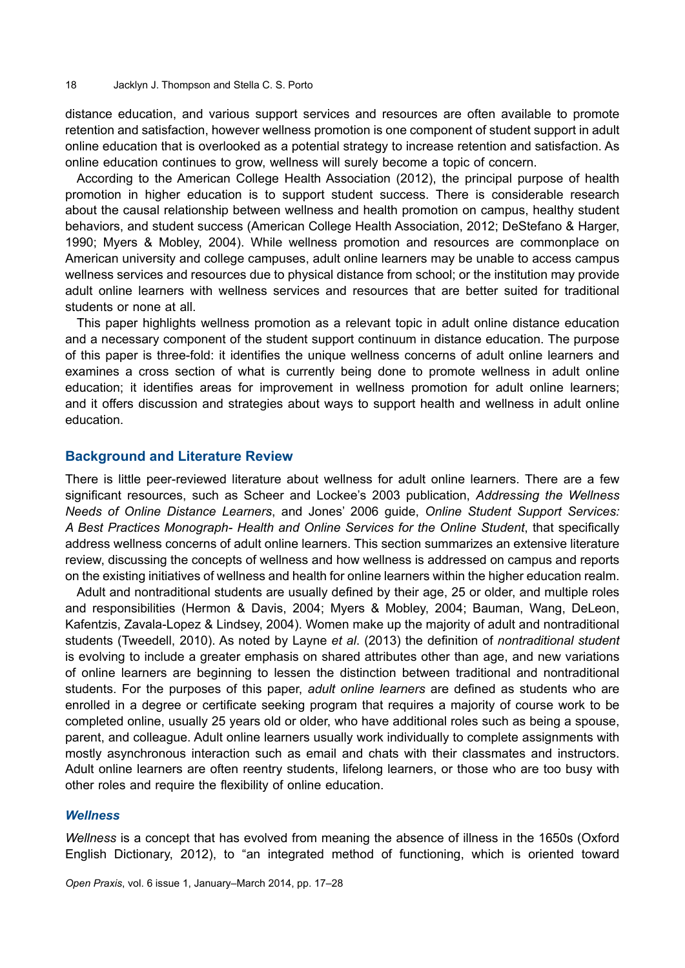distance education, and various support services and resources are often available to promote retention and satisfaction, however wellness promotion is one component of student support in adult online education that is overlooked as a potential strategy to increase retention and satisfaction. As online education continues to grow, wellness will surely become a topic of concern.

According to the American College Health Association (2012), the principal purpose of health promotion in higher education is to support student success. There is considerable research about the causal relationship between wellness and health promotion on campus, healthy student behaviors, and student success (American College Health Association, 2012; DeStefano & Harger, 1990; Myers & Mobley, 2004). While wellness promotion and resources are commonplace on American university and college campuses, adult online learners may be unable to access campus wellness services and resources due to physical distance from school; or the institution may provide adult online learners with wellness services and resources that are better suited for traditional students or none at all.

This paper highlights wellness promotion as a relevant topic in adult online distance education and a necessary component of the student support continuum in distance education. The purpose of this paper is three-fold: it identifies the unique wellness concerns of adult online learners and examines a cross section of what is currently being done to promote wellness in adult online education; it identifies areas for improvement in wellness promotion for adult online learners; and it offers discussion and strategies about ways to support health and wellness in adult online education.

#### **Background and Literature Review**

There is little peer-reviewed literature about wellness for adult online learners. There are a few significant resources, such as Scheer and Lockee's 2003 publication, *Addressing the Wellness Needs of Online Distance Learners*, and Jones' 2006 guide, *Online Student Support Services: A Best Practices Monograph- Health and Online Services for the Online Student*, that specifically address wellness concerns of adult online learners. This section summarizes an extensive literature review, discussing the concepts of wellness and how wellness is addressed on campus and reports on the existing initiatives of wellness and health for online learners within the higher education realm.

Adult and nontraditional students are usually defined by their age, 25 or older, and multiple roles and responsibilities (Hermon & Davis, 2004; Myers & Mobley, 2004; Bauman, Wang, DeLeon, Kafentzis, Zavala-Lopez & Lindsey, 2004). Women make up the majority of adult and nontraditional students (Tweedell, 2010). As noted by Layne *et al*. (2013) the definition of *nontraditional student* is evolving to include a greater emphasis on shared attributes other than age, and new variations of online learners are beginning to lessen the distinction between traditional and nontraditional students. For the purposes of this paper, *adult online learners* are defined as students who are enrolled in a degree or certificate seeking program that requires a majority of course work to be completed online, usually 25 years old or older, who have additional roles such as being a spouse, parent, and colleague. Adult online learners usually work individually to complete assignments with mostly asynchronous interaction such as email and chats with their classmates and instructors. Adult online learners are often reentry students, lifelong learners, or those who are too busy with other roles and require the flexibility of online education.

#### *Wellness*

*Wellness* is a concept that has evolved from meaning the absence of illness in the 1650s (Oxford English Dictionary, 2012), to "an integrated method of functioning, which is oriented toward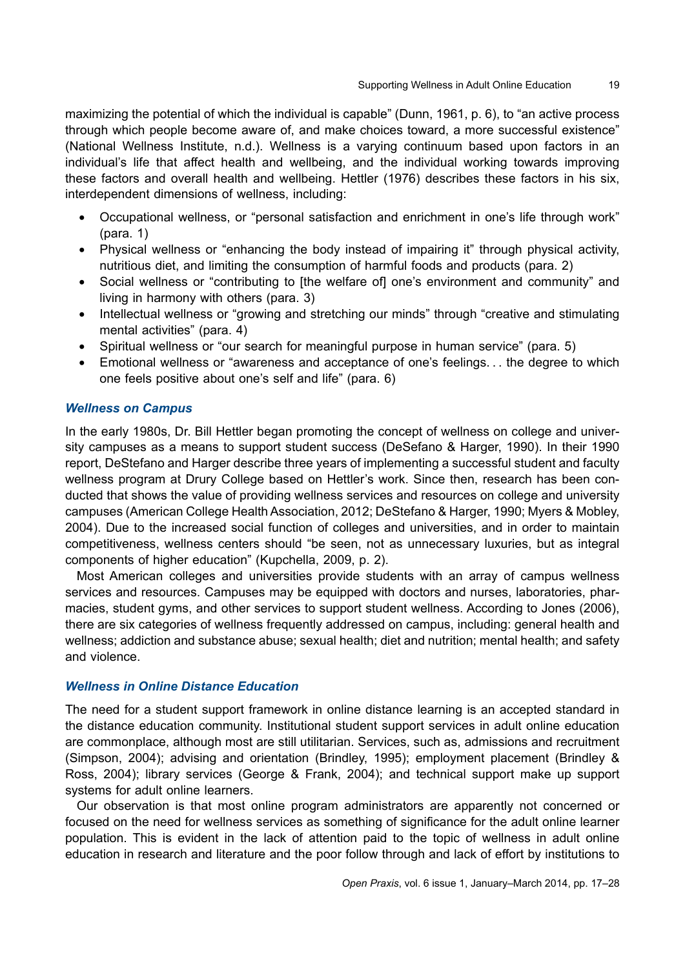maximizing the potential of which the individual is capable" (Dunn, 1961, p. 6), to "an active process through which people become aware of, and make choices toward, a more successful existence" (National Wellness Institute, n.d.). Wellness is a varying continuum based upon factors in an individual's life that affect health and wellbeing, and the individual working towards improving these factors and overall health and wellbeing. Hettler (1976) describes these factors in his six, interdependent dimensions of wellness, including:

- Occupational wellness, or "personal satisfaction and enrichment in one's life through work" (para. 1)
- Physical wellness or "enhancing the body instead of impairing it" through physical activity, nutritious diet, and limiting the consumption of harmful foods and products (para. 2)
- Social wellness or "contributing to [the welfare of] one's environment and community" and living in harmony with others (para. 3)
- Intellectual wellness or "growing and stretching our minds" through "creative and stimulating mental activities" (para. 4)
- Spiritual wellness or "our search for meaningful purpose in human service" (para. 5)
- Emotional wellness or "awareness and acceptance of one's feelings. . . the degree to which one feels positive about one's self and life" (para. 6)

# *Wellness on Campus*

In the early 1980s, Dr. Bill Hettler began promoting the concept of wellness on college and university campuses as a means to support student success (DeSefano & Harger, 1990). In their 1990 report, DeStefano and Harger describe three years of implementing a successful student and faculty wellness program at Drury College based on Hettler's work. Since then, research has been conducted that shows the value of providing wellness services and resources on college and university campuses (American College Health Association, 2012; DeStefano & Harger, 1990; Myers & Mobley, 2004). Due to the increased social function of colleges and universities, and in order to maintain competitiveness, wellness centers should "be seen, not as unnecessary luxuries, but as integral components of higher education" (Kupchella, 2009, p. 2).

Most American colleges and universities provide students with an array of campus wellness services and resources. Campuses may be equipped with doctors and nurses, laboratories, pharmacies, student gyms, and other services to support student wellness. According to Jones (2006), there are six categories of wellness frequently addressed on campus, including: general health and wellness; addiction and substance abuse; sexual health; diet and nutrition; mental health; and safety and violence.

# *Wellness in Online Distance Education*

The need for a student support framework in online distance learning is an accepted standard in the distance education community. Institutional student support services in adult online education are commonplace, although most are still utilitarian. Services, such as, admissions and recruitment (Simpson, 2004); advising and orientation (Brindley, 1995); employment placement (Brindley & Ross, 2004); library services (George & Frank, 2004); and technical support make up support systems for adult online learners.

Our observation is that most online program administrators are apparently not concerned or focused on the need for wellness services as something of significance for the adult online learner population. This is evident in the lack of attention paid to the topic of wellness in adult online education in research and literature and the poor follow through and lack of effort by institutions to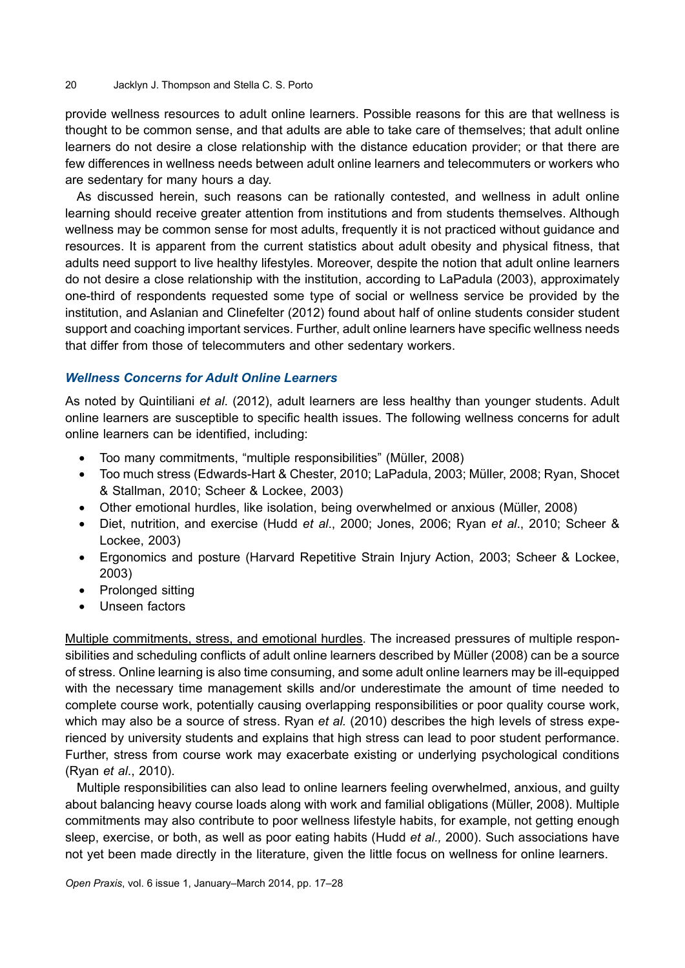provide wellness resources to adult online learners. Possible reasons for this are that wellness is thought to be common sense, and that adults are able to take care of themselves; that adult online learners do not desire a close relationship with the distance education provider; or that there are few differences in wellness needs between adult online learners and telecommuters or workers who are sedentary for many hours a day.

As discussed herein, such reasons can be rationally contested, and wellness in adult online learning should receive greater attention from institutions and from students themselves. Although wellness may be common sense for most adults, frequently it is not practiced without guidance and resources. It is apparent from the current statistics about adult obesity and physical fitness, that adults need support to live healthy lifestyles. Moreover, despite the notion that adult online learners do not desire a close relationship with the institution, according to LaPadula (2003), approximately one-third of respondents requested some type of social or wellness service be provided by the institution, and Aslanian and Clinefelter (2012) found about half of online students consider student support and coaching important services. Further, adult online learners have specific wellness needs that differ from those of telecommuters and other sedentary workers.

# *Wellness Concerns for Adult Online Learners*

As noted by Quintiliani *et al*. (2012), adult learners are less healthy than younger students. Adult online learners are susceptible to specific health issues. The following wellness concerns for adult online learners can be identified, including:

- Too many commitments, "multiple responsibilities" (Müller, 2008)
- • Too much stress (Edwards-Hart & Chester, 2010; LaPadula, 2003; Müller, 2008; Ryan, Shocet & Stallman, 2010; Scheer & Lockee, 2003)
- Other emotional hurdles, like isolation, being overwhelmed or anxious (Müller, 2008)
- Diet, nutrition, and exercise (Hudd *et al.*, 2000; Jones, 2006; Ryan *et al.*, 2010; Scheer & Lockee, 2003)
- • Ergonomics and posture (Harvard Repetitive Strain Injury Action, 2003; Scheer & Lockee, 2003)
- Prolonged sitting
- Unseen factors

Multiple commitments, stress, and emotional hurdles. The increased pressures of multiple responsibilities and scheduling conflicts of adult online learners described by Müller (2008) can be a source of stress. Online learning is also time consuming, and some adult online learners may be ill-equipped with the necessary time management skills and/or underestimate the amount of time needed to complete course work, potentially causing overlapping responsibilities or poor quality course work, which may also be a source of stress. Ryan *et al.* (2010) describes the high levels of stress experienced by university students and explains that high stress can lead to poor student performance. Further, stress from course work may exacerbate existing or underlying psychological conditions (Ryan *et al*., 2010).

Multiple responsibilities can also lead to online learners feeling overwhelmed, anxious, and guilty about balancing heavy course loads along with work and familial obligations (Müller, 2008). Multiple commitments may also contribute to poor wellness lifestyle habits, for example, not getting enough sleep, exercise, or both, as well as poor eating habits (Hudd *et al.,* 2000). Such associations have not yet been made directly in the literature, given the little focus on wellness for online learners.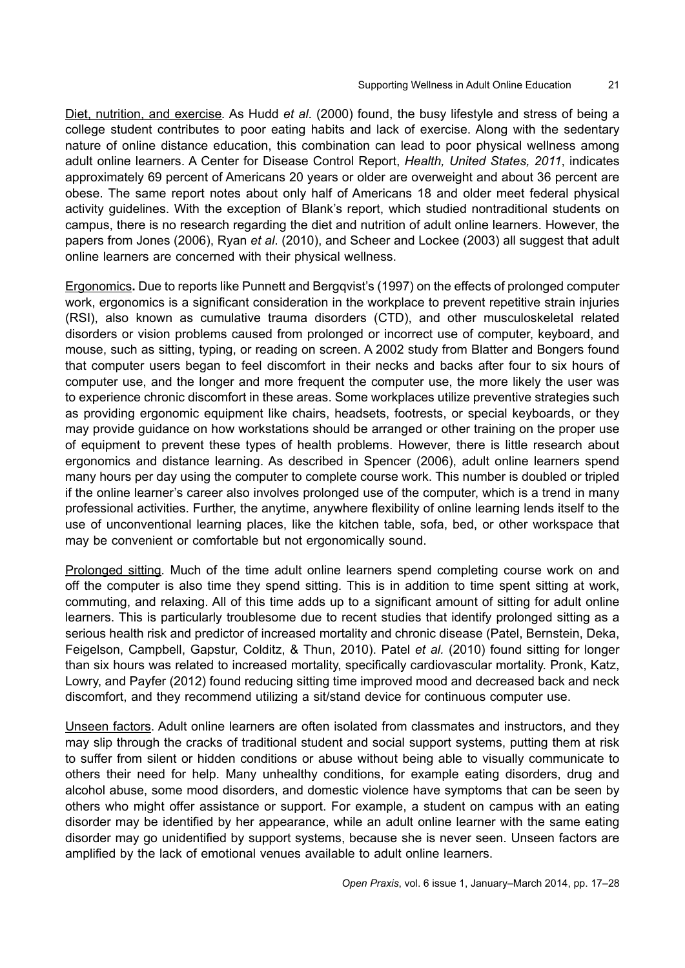Diet, nutrition, and exercise*.* As Hudd *et al*. (2000) found, the busy lifestyle and stress of being a college student contributes to poor eating habits and lack of exercise. Along with the sedentary nature of online distance education, this combination can lead to poor physical wellness among adult online learners. A Center for Disease Control Report, *Health, United States, 2011*, indicates approximately 69 percent of Americans 20 years or older are overweight and about 36 percent are obese. The same report notes about only half of Americans 18 and older meet federal physical activity guidelines. With the exception of Blank's report, which studied nontraditional students on campus, there is no research regarding the diet and nutrition of adult online learners. However, the papers from Jones (2006), Ryan *et al*. (2010), and Scheer and Lockee (2003) all suggest that adult online learners are concerned with their physical wellness.

Ergonomics**.** Due to reports like Punnett and Bergqvist's (1997) on the effects of prolonged computer work, ergonomics is a significant consideration in the workplace to prevent repetitive strain injuries (RSI), also known as cumulative trauma disorders (CTD), and other musculoskeletal related disorders or vision problems caused from prolonged or incorrect use of computer, keyboard, and mouse, such as sitting, typing, or reading on screen. A 2002 study from Blatter and Bongers found that computer users began to feel discomfort in their necks and backs after four to six hours of computer use, and the longer and more frequent the computer use, the more likely the user was to experience chronic discomfort in these areas. Some workplaces utilize preventive strategies such as providing ergonomic equipment like chairs, headsets, footrests, or special keyboards, or they may provide guidance on how workstations should be arranged or other training on the proper use of equipment to prevent these types of health problems. However, there is little research about ergonomics and distance learning. As described in Spencer (2006), adult online learners spend many hours per day using the computer to complete course work. This number is doubled or tripled if the online learner's career also involves prolonged use of the computer, which is a trend in many professional activities. Further, the anytime, anywhere flexibility of online learning lends itself to the use of unconventional learning places, like the kitchen table, sofa, bed, or other workspace that may be convenient or comfortable but not ergonomically sound.

Prolonged sitting*.* Much of the time adult online learners spend completing course work on and off the computer is also time they spend sitting. This is in addition to time spent sitting at work, commuting, and relaxing. All of this time adds up to a significant amount of sitting for adult online learners. This is particularly troublesome due to recent studies that identify prolonged sitting as a serious health risk and predictor of increased mortality and chronic disease (Patel, Bernstein, Deka, Feigelson, Campbell, Gapstur, Colditz, & Thun, 2010). Patel *et al.* (2010) found sitting for longer than six hours was related to increased mortality, specifically cardiovascular mortality. Pronk, Katz, Lowry, and Payfer (2012) found reducing sitting time improved mood and decreased back and neck discomfort, and they recommend utilizing a sit/stand device for continuous computer use.

Unseen factors. Adult online learners are often isolated from classmates and instructors, and they may slip through the cracks of traditional student and social support systems, putting them at risk to suffer from silent or hidden conditions or abuse without being able to visually communicate to others their need for help. Many unhealthy conditions, for example eating disorders, drug and alcohol abuse, some mood disorders, and domestic violence have symptoms that can be seen by others who might offer assistance or support. For example, a student on campus with an eating disorder may be identified by her appearance, while an adult online learner with the same eating disorder may go unidentified by support systems, because she is never seen. Unseen factors are amplified by the lack of emotional venues available to adult online learners.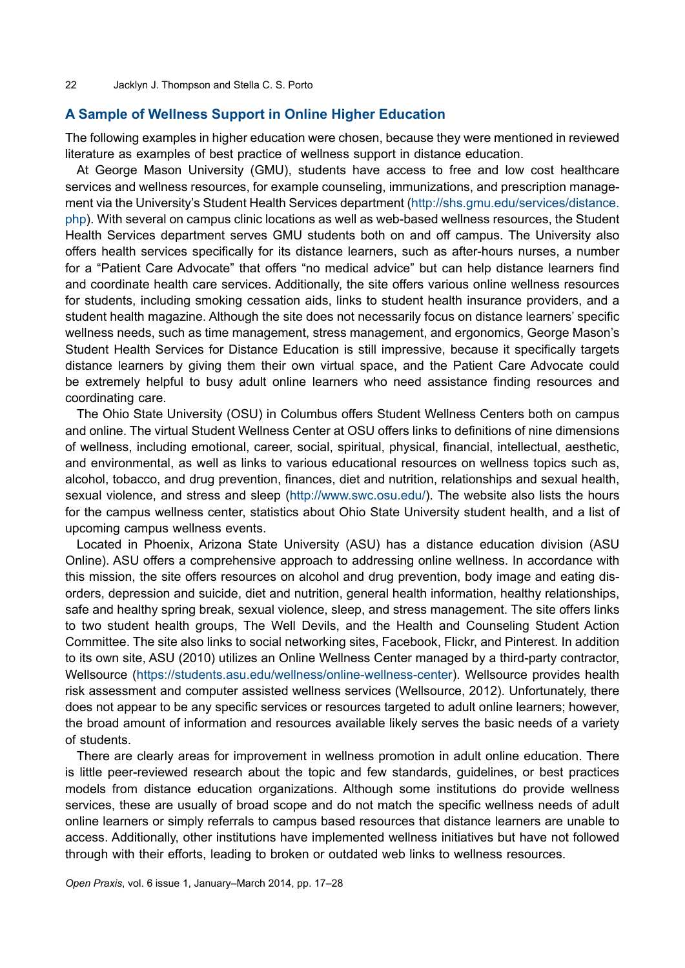#### **A Sample of Wellness Support in Online Higher Education**

The following examples in higher education were chosen, because they were mentioned in reviewed literature as examples of best practice of wellness support in distance education.

At George Mason University (GMU), students have access to free and low cost healthcare services and wellness resources, for example counseling, immunizations, and prescription management via the University's Student Health Services department ([http://shs.gmu.edu/services/distance.](http://shs.gmu.edu/services/distance.php) [php](http://shs.gmu.edu/services/distance.php)). With several on campus clinic locations as well as web-based wellness resources, the Student Health Services department serves GMU students both on and off campus. The University also offers health services specifically for its distance learners, such as after-hours nurses, a number for a "Patient Care Advocate" that offers "no medical advice" but can help distance learners find and coordinate health care services. Additionally, the site offers various online wellness resources for students, including smoking cessation aids, links to student health insurance providers, and a student health magazine. Although the site does not necessarily focus on distance learners' specific wellness needs, such as time management, stress management, and ergonomics, George Mason's Student Health Services for Distance Education is still impressive, because it specifically targets distance learners by giving them their own virtual space, and the Patient Care Advocate could be extremely helpful to busy adult online learners who need assistance finding resources and coordinating care.

The Ohio State University (OSU) in Columbus offers Student Wellness Centers both on campus and online. The virtual Student Wellness Center at OSU offers links to definitions of nine dimensions of wellness, including emotional, career, social, spiritual, physical, financial, intellectual, aesthetic, and environmental, as well as links to various educational resources on wellness topics such as, alcohol, tobacco, and drug prevention, finances, diet and nutrition, relationships and sexual health, sexual violence, and stress and sleep ([http://www.swc.osu.edu/\)](http://www.swc.osu.edu/). The website also lists the hours for the campus wellness center, statistics about Ohio State University student health, and a list of upcoming campus wellness events.

Located in Phoenix, Arizona State University (ASU) has a distance education division (ASU Online). ASU offers a comprehensive approach to addressing online wellness. In accordance with this mission, the site offers resources on alcohol and drug prevention, [body image and eating dis](https://students.asu.edu/wellness/bodyimage)[orders,](https://students.asu.edu/wellness/bodyimage) [depression and suicide](https://students.asu.edu/wellness/suicide), [diet](https://students.asu.edu/wellness/healthyeating) and nutrition, general health information, healthy relationships, safe and healthy spring break, sexual violence, sleep, and stress management. The site offers links to two student health groups, The Well Devils, and the Health and Counseling Student Action Committee. The site also links to social networking sites, Facebook, Flickr, and Pinterest. In addition to its own site, ASU (2010) utilizes an Online Wellness Center managed by a third-party contractor, Wellsource (<https://students.asu.edu/wellness/online-wellness-center>). Wellsource provides health risk assessment and computer assisted wellness services (Wellsource, 2012). Unfortunately, there does not appear to be any specific services or resources targeted to adult online learners; however, the broad amount of information and resources available likely serves the basic needs of a variety of students.

There are clearly areas for improvement in wellness promotion in adult online education. There is little peer-reviewed research about the topic and few standards, guidelines, or best practices models from distance education organizations. Although some institutions do provide wellness services, these are usually of broad scope and do not match the specific wellness needs of adult online learners or simply referrals to campus based resources that distance learners are unable to access. Additionally, other institutions have implemented wellness initiatives but have not followed through with their efforts, leading to broken or outdated web links to wellness resources.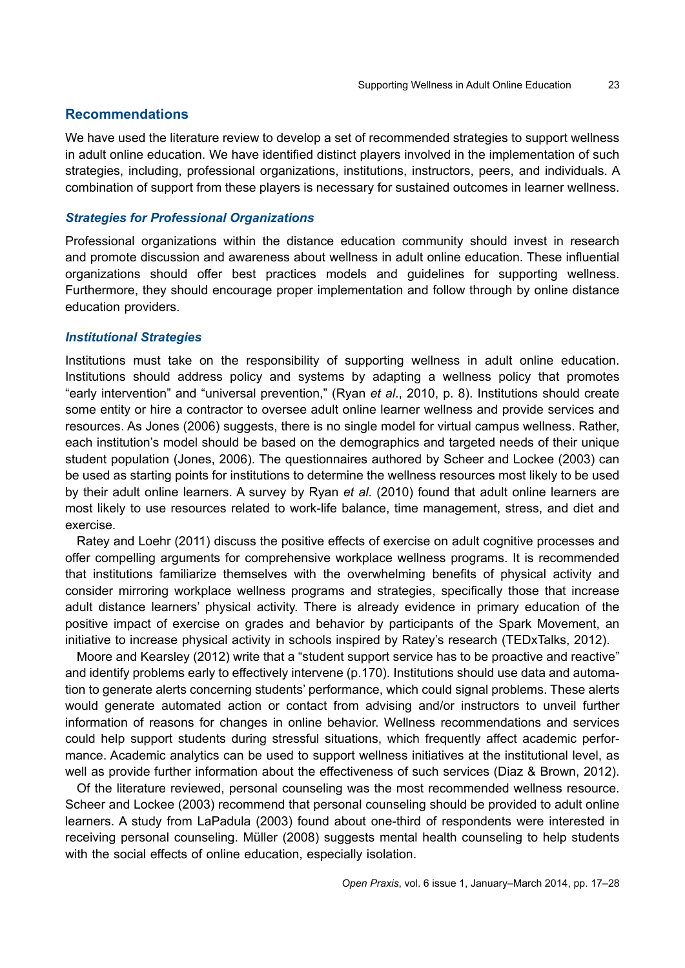## **Recommendations**

We have used the literature review to develop a set of recommended strategies to support wellness in adult online education. We have identified distinct players involved in the implementation of such strategies, including, professional organizations, institutions, instructors, peers, and individuals. A combination of support from these players is necessary for sustained outcomes in learner wellness.

#### *Strategies for Professional Organizations*

Professional organizations within the distance education community should invest in research and promote discussion and awareness about wellness in adult online education. These influential organizations should offer best practices models and guidelines for supporting wellness. Furthermore, they should encourage proper implementation and follow through by online distance education providers.

#### *Institutional Strategies*

Institutions must take on the responsibility of supporting wellness in adult online education. Institutions should address policy and systems by adapting a wellness policy that promotes "early intervention" and "universal prevention," (Ryan *et al*., 2010, p. 8). Institutions should create some entity or hire a contractor to oversee adult online learner wellness and provide services and resources. As Jones (2006) suggests, there is no single model for virtual campus wellness. Rather, each institution's model should be based on the demographics and targeted needs of their unique student population (Jones, 2006). The questionnaires authored by Scheer and Lockee (2003) can be used as starting points for institutions to determine the wellness resources most likely to be used by their adult online learners. A survey by Ryan *et al*. (2010) found that adult online learners are most likely to use resources related to work-life balance, time management, stress, and diet and exercise.

Ratey and Loehr (2011) discuss the positive effects of exercise on adult cognitive processes and offer compelling arguments for comprehensive workplace wellness programs. It is recommended that institutions familiarize themselves with the overwhelming benefits of physical activity and consider mirroring workplace wellness programs and strategies, specifically those that increase adult distance learners' physical activity. There is already evidence in primary education of the positive impact of exercise on grades and behavior by participants of the Spark Movement, an initiative to increase physical activity in schools inspired by Ratey's research (TEDxTalks, 2012).

Moore and Kearsley (2012) write that a "student support service has to be proactive and reactive" and identify problems early to effectively intervene (p.170). Institutions should use data and automation to generate alerts concerning students' performance, which could signal problems. These alerts would generate automated action or contact from advising and/or instructors to unveil further information of reasons for changes in online behavior. Wellness recommendations and services could help support students during stressful situations, which frequently affect academic performance. Academic analytics can be used to support wellness initiatives at the institutional level, as well as provide further information about the effectiveness of such services (Diaz & Brown, 2012).

Of the literature reviewed, personal counseling was the most recommended wellness resource. Scheer and Lockee (2003) recommend that personal counseling should be provided to adult online learners. A study from LaPadula (2003) found about one-third of respondents were interested in receiving personal counseling. Müller (2008) suggests mental health counseling to help students with the social effects of online education, especially isolation.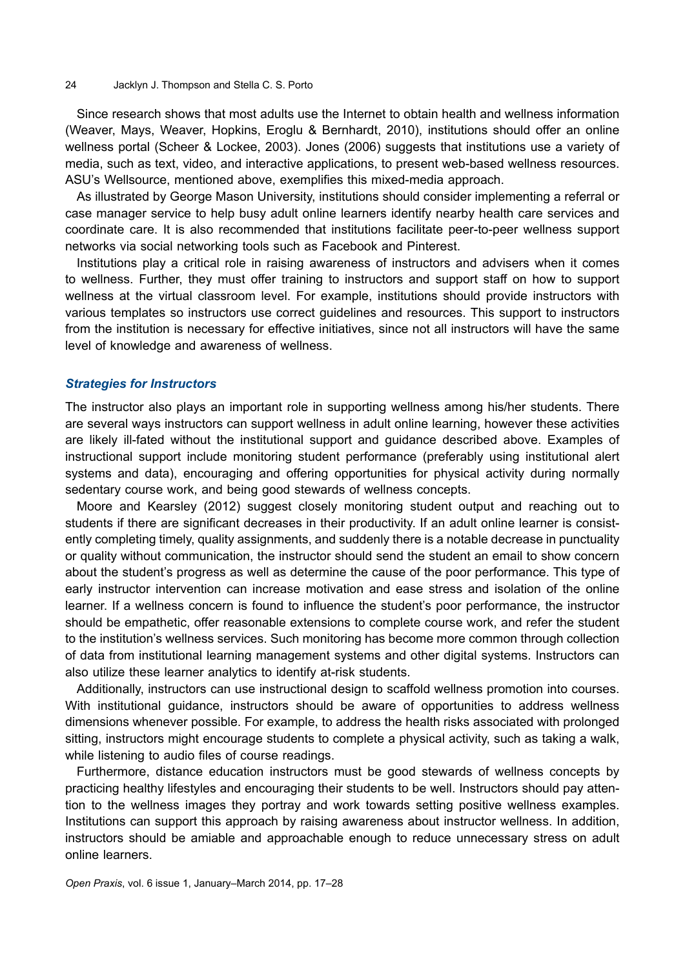#### 24 Jacklyn J. Thompson and Stella C. S. Porto

Since research shows that most adults use the Internet to obtain health and wellness information (Weaver, Mays, Weaver, Hopkins, Eroglu & Bernhardt, 2010), institutions should offer an online wellness portal (Scheer & Lockee, 2003). Jones (2006) suggests that institutions use a variety of media, such as text, video, and interactive applications, to present web-based wellness resources. ASU's Wellsource, mentioned above, exemplifies this mixed-media approach.

As illustrated by George Mason University, institutions should consider implementing a referral or case manager service to help busy adult online learners identify nearby health care services and coordinate care. It is also recommended that institutions facilitate peer-to-peer wellness support networks via social networking tools such as Facebook and Pinterest.

Institutions play a critical role in raising awareness of instructors and advisers when it comes to wellness. Further, they must offer training to instructors and support staff on how to support wellness at the virtual classroom level. For example, institutions should provide instructors with various templates so instructors use correct guidelines and resources. This support to instructors from the institution is necessary for effective initiatives, since not all instructors will have the same level of knowledge and awareness of wellness.

#### *Strategies for Instructors*

The instructor also plays an important role in supporting wellness among his/her students. There are several ways instructors can support wellness in adult online learning, however these activities are likely ill-fated without the institutional support and guidance described above. Examples of instructional support include monitoring student performance (preferably using institutional alert systems and data), encouraging and offering opportunities for physical activity during normally sedentary course work, and being good stewards of wellness concepts.

Moore and Kearsley (2012) suggest closely monitoring student output and reaching out to students if there are significant decreases in their productivity. If an adult online learner is consistently completing timely, quality assignments, and suddenly there is a notable decrease in punctuality or quality without communication, the instructor should send the student an email to show concern about the student's progress as well as determine the cause of the poor performance. This type of early instructor intervention can increase motivation and ease stress and isolation of the online learner. If a wellness concern is found to influence the student's poor performance, the instructor should be empathetic, offer reasonable extensions to complete course work, and refer the student to the institution's wellness services. Such monitoring has become more common through collection of data from institutional learning management systems and other digital systems. Instructors can also utilize these learner analytics to identify at-risk students.

Additionally, instructors can use instructional design to scaffold wellness promotion into courses. With institutional guidance, instructors should be aware of opportunities to address wellness dimensions whenever possible. For example, to address the health risks associated with prolonged sitting, instructors might encourage students to complete a physical activity, such as taking a walk, while listening to audio files of course readings.

Furthermore, distance education instructors must be good stewards of wellness concepts by practicing healthy lifestyles and encouraging their students to be well. Instructors should pay attention to the wellness images they portray and work towards setting positive wellness examples. Institutions can support this approach by raising awareness about instructor wellness. In addition, instructors should be amiable and approachable enough to reduce unnecessary stress on adult online learners.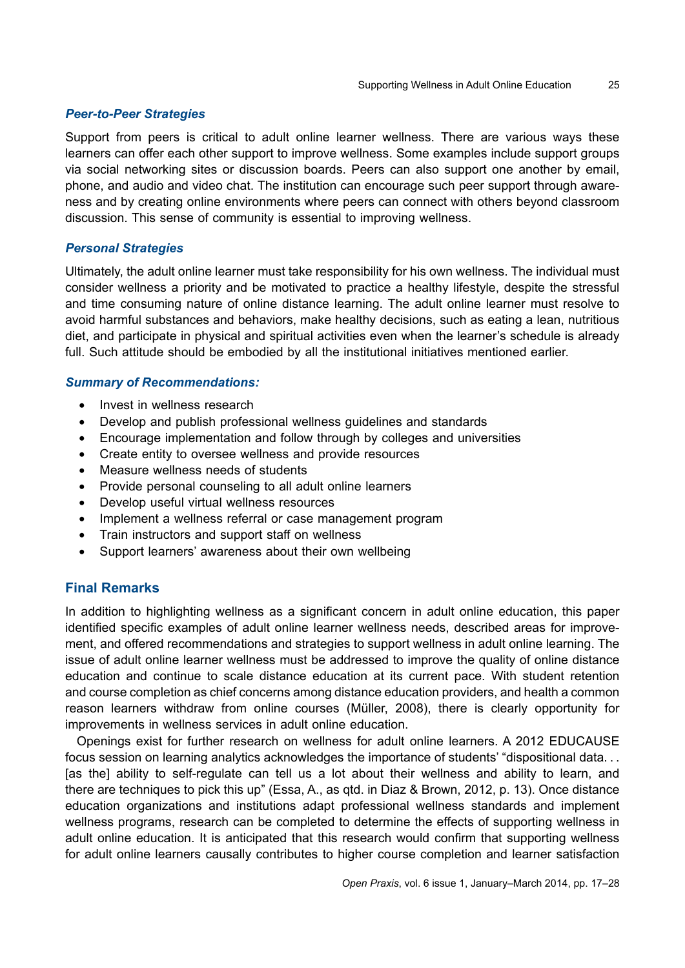# *Peer-to-Peer Strategies*

Support from peers is critical to adult online learner wellness. There are various ways these learners can offer each other support to improve wellness. Some examples include support groups via social networking sites or discussion boards. Peers can also support one another by email, phone, and audio and video chat. The institution can encourage such peer support through awareness and by creating online environments where peers can connect with others beyond classroom discussion. This sense of community is essential to improving wellness.

## *Personal Strategies*

Ultimately, the adult online learner must take responsibility for his own wellness. The individual must consider wellness a priority and be motivated to practice a healthy lifestyle, despite the stressful and time consuming nature of online distance learning. The adult online learner must resolve to avoid harmful substances and behaviors, make healthy decisions, such as eating a lean, nutritious diet, and participate in physical and spiritual activities even when the learner's schedule is already full. Such attitude should be embodied by all the institutional initiatives mentioned earlier.

## *Summary of Recommendations:*

- Invest in wellness research
- Develop and publish professional wellness guidelines and standards
- Encourage implementation and follow through by colleges and universities
- Create entity to oversee wellness and provide resources
- Measure wellness needs of students
- Provide personal counseling to all adult online learners
- Develop useful virtual wellness resources
- Implement a wellness referral or case management program
- Train instructors and support staff on wellness
- Support learners' awareness about their own wellbeing

# **Final Remarks**

In addition to highlighting wellness as a significant concern in adult online education, this paper identified specific examples of adult online learner wellness needs, described areas for improvement, and offered recommendations and strategies to support wellness in adult online learning. The issue of adult online learner wellness must be addressed to improve the quality of online distance education and continue to scale distance education at its current pace. With student retention and course completion as chief concerns among distance education providers, and health a common reason learners withdraw from online courses (Müller, 2008), there is clearly opportunity for improvements in wellness services in adult online education.

Openings exist for further research on wellness for adult online learners. A 2012 EDUCAUSE focus session on learning analytics acknowledges the importance of students' "dispositional data. . . [as the] ability to self-regulate can tell us a lot about their wellness and ability to learn, and there are techniques to pick this up" (Essa, A., as qtd. in Diaz & Brown, 2012, p. 13). Once distance education organizations and institutions adapt professional wellness standards and implement wellness programs, research can be completed to determine the effects of supporting wellness in adult online education. It is anticipated that this research would confirm that supporting wellness for adult online learners causally contributes to higher course completion and learner satisfaction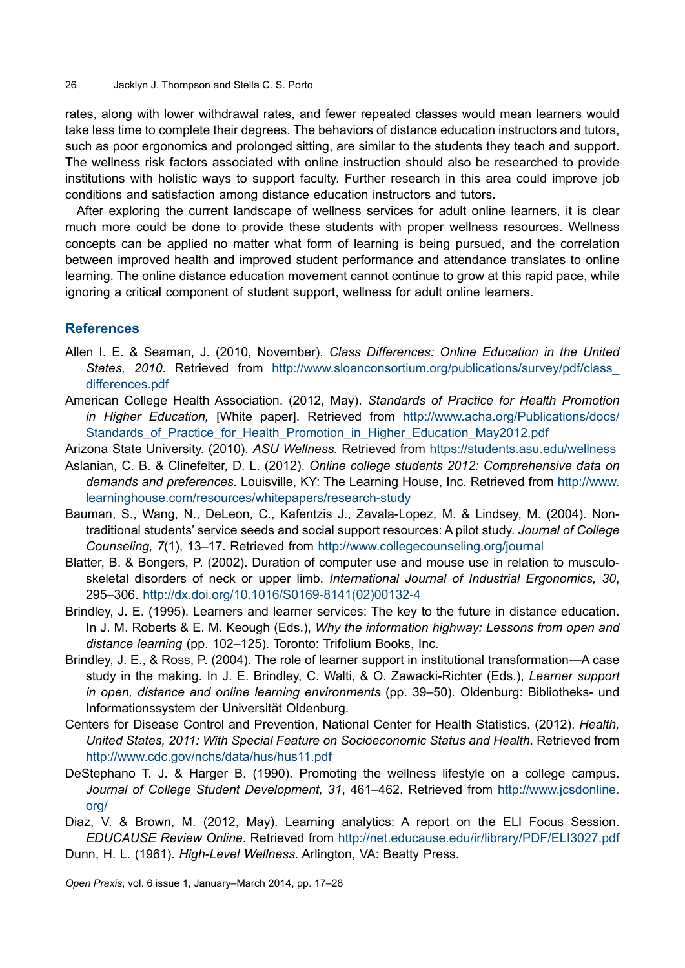26 Jacklyn J. Thompson and Stella C. S. Porto

rates, along with lower withdrawal rates, and fewer repeated classes would mean learners would take less time to complete their degrees. The behaviors of distance education instructors and tutors, such as poor ergonomics and prolonged sitting, are similar to the students they teach and support. The wellness risk factors associated with online instruction should also be researched to provide institutions with holistic ways to support faculty. Further research in this area could improve job conditions and satisfaction among distance education instructors and tutors.

After exploring the current landscape of wellness services for adult online learners, it is clear much more could be done to provide these students with proper wellness resources. Wellness concepts can be applied no matter what form of learning is being pursued, and the correlation between improved health and improved student performance and attendance translates to online learning. The online distance education movement cannot continue to grow at this rapid pace, while ignoring a critical component of student support, wellness for adult online learners.

## **References**

- Allen I. E. & Seaman, J. (2010, November). *Class Differences: Online Education in the United*  States, 2010. Retrieved from [http://www.sloanconsortium.org/publications/survey/pdf/class\\_](http://www.sloanconsortium.org/publications/survey/pdf/class_differences.pdf) [differences.pdf](http://www.sloanconsortium.org/publications/survey/pdf/class_differences.pdf)
- American College Health Association. (2012, May). *Standards of Practice for Health Promotion in Higher Education,* [White paper]. Retrieved from [http://www.acha.org/Publications/docs/](http://www.acha.org/Publications/docs/Standards_of_Practice_for_Health_Promotion_in_Higher_Education_May2012.pdf) [Standards\\_of\\_Practice\\_for\\_Health\\_Promotion\\_in\\_Higher\\_Education\\_May2012.pdf](http://www.acha.org/Publications/docs/Standards_of_Practice_for_Health_Promotion_in_Higher_Education_May2012.pdf)
- Arizona State University. (2010). *ASU Wellness.* Retrieved from <https://students.asu.edu/wellness>
- Aslanian, C. B. & Clinefelter, D. L. (2012). *Online college students 2012: Comprehensive data on demands and preferences.* Louisville, KY: The Learning House, Inc. Retrieved from [http://www.](http://www.learninghouse.com/resources/whitepapers/research-study) [learninghouse.com/resources/whitepapers/research-study](http://www.learninghouse.com/resources/whitepapers/research-study)
- Bauman, S., Wang, N., DeLeon, C., Kafentzis J., Zavala-Lopez, M. & Lindsey, M. (2004). Nontraditional students' service seeds and social support resources: A pilot study. *Journal of College Counseling, 7*(1), 13–17. Retrieved from <http://www.collegecounseling.org/journal>
- Blatter, B. & Bongers, P. (2002). Duration of computer use and mouse use in relation to musculoskeletal disorders of neck or upper limb. *International Journal of Industrial Ergonomics, 30*, 295–306. [http://dx.doi.org/10.1016/S0169-8141\(02\)00132-4](http://dx.doi.org/10.1016/S0169-8141(02)00132-4)
- Brindley, J. E. (1995). Learners and learner services: The key to the future in distance education. In J. M. Roberts & E. M. Keough (Eds.), *Why the information highway: Lessons from open and distance learning* (pp. 102–125). Toronto: Trifolium Books, Inc.
- Brindley, J. E., & Ross, P. (2004). The role of learner support in institutional transformation—A case study in the making. In J. E. Brindley, C. Walti, & O. Zawacki-Richter (Eds.), *Learner support in open, distance and online learning environments* (pp. 39–50)*.* Oldenburg: Bibliotheks- und Informationssystem der Universität Oldenburg.
- Centers for Disease Control and Prevention, National Center for Health Statistics. (2012). *Health, United States, 2011: With Special Feature on Socioeconomic Status and Health*. Retrieved from <http://www.cdc.gov/nchs/data/hus/hus11.pdf>
- DeStephano T. J. & Harger B. (1990). Promoting the wellness lifestyle on a college campus. *Journal of College Student Development, 31*, 461–462. Retrieved from [http://www.jcsdonline.](http://www.jcsdonline.org/) [org/](http://www.jcsdonline.org/)

Diaz, V. & Brown, M. (2012, May). Learning analytics: A report on the ELI Focus Session. *EDUCAUSE Review Online*. Retrieved from <http://net.educause.edu/ir/library/PDF/ELI3027.pdf>

Dunn, H. L. (1961). *High-Level Wellness*. Arlington, VA: Beatty Press.

*Open Praxis*, vol. 6 issue 1, January–March 2014, pp. 17–28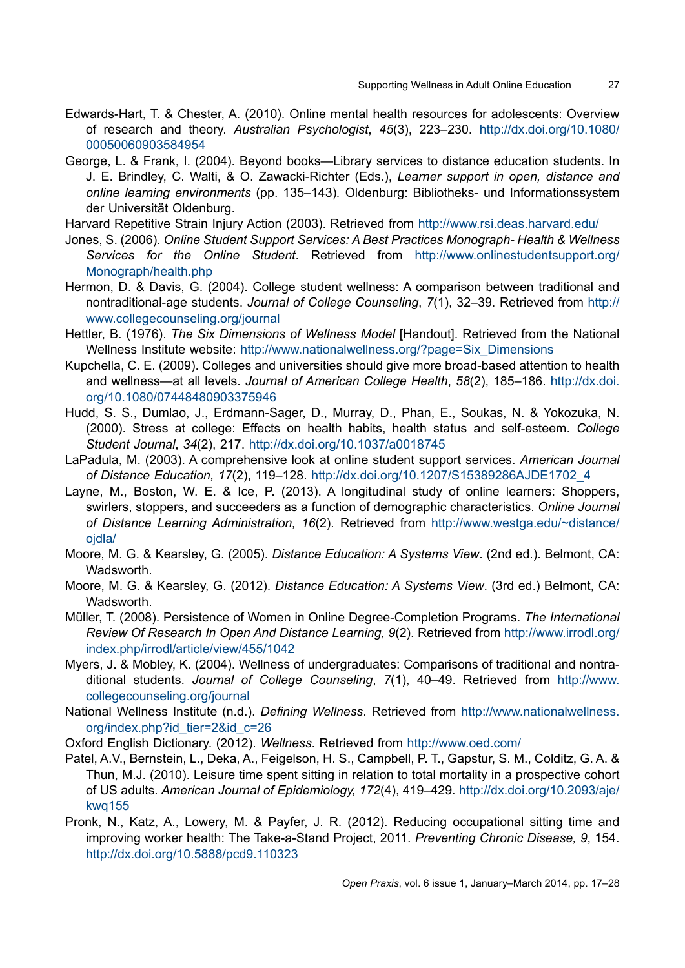- Edwards-Hart, T. & Chester, A. (2010). Online mental health resources for adolescents: Overview of research and theory. *Australian Psychologist*, *45*(3), 223–230. [http://dx.doi.org/10.1080/](http://dx.doi.org/10.1080/00050060903584954) [00050060903584954](http://dx.doi.org/10.1080/00050060903584954)
- George, L. & Frank, I. (2004). Beyond books—Library services to distance education students. In J. E. Brindley, C. Walti, & O. Zawacki-Richter (Eds.), *Learner support in open, distance and online learning environments* (pp. 135–143)*.* Oldenburg: Bibliotheks- und Informationssystem der Universität Oldenburg.
- Harvard Repetitive Strain Injury Action (2003). Retrieved from <http://www.rsi.deas.harvard.edu/>
- Jones, S. (2006). *Online Student Support Services: A Best Practices Monograph- Health & Wellness Services for the Online Student*. Retrieved from [http://www.onlinestudentsupport.org/](http://www.onlinestudentsupport.org/Monograph/health.php) [Monograph/health.php](http://www.onlinestudentsupport.org/Monograph/health.php)
- Hermon, D. & Davis, G. (2004). College student wellness: A comparison between traditional and nontraditional-age students. *Journal of College Counseling*, *7*(1), 32–39. Retrieved from [http://](http://www.collegecounseling.org/journal) [www.collegecounseling.org/journal](http://www.collegecounseling.org/journal)
- Hettler, B. (1976). *The Six Dimensions of Wellness Model* [Handout]. Retrieved from the National Wellness Institute website: [http://www.nationalwellness.org/?page=Six\\_Dimensions](http://www.nationalwellness.org/?page=Six_Dimensions)
- Kupchella, C. E. (2009). Colleges and universities should give more broad-based attention to health and wellness—at all levels. *Journal of American College Health*, *58*(2), 185–186. [http://dx.doi.](http://dx.doi.org/10.1080%2F07448480903375946) [org/10.1080/07448480903375946](http://dx.doi.org/10.1080%2F07448480903375946)
- Hudd, S. S., Dumlao, J., Erdmann-Sager, D., Murray, D., Phan, E., Soukas, N. & Yokozuka, N. (2000). Stress at college: Effects on health habits, health status and self-esteem. *College Student Journal*, *34*(2), 217. <http://dx.doi.org/10.1037/a0018745>
- LaPadula, M. (2003). A comprehensive look at online student support services. *American Journal of Distance Education, 17*(2), 119–128. [http://dx.doi.org/10.1207/S15389286AJDE1702\\_4](http://dx.doi.org/10.1207/S15389286AJDE1702_4)
- Layne, M., Boston, W. E. & Ice, P. (2013). A longitudinal study of online learners: Shoppers, swirlers, stoppers, and succeeders as a function of demographic characteristics. *Online Journal of Distance Learning Administration, 16*(2)*.* Retrieved from [http://www.westga.edu/~distance/](http://www.westga.edu/~distance/ojdla/) [ojdla/](http://www.westga.edu/~distance/ojdla/)
- Moore, M. G. & Kearsley, G. (2005). *Distance Education: A Systems View*. (2nd ed.). Belmont, CA: Wadsworth.
- Moore, M. G. & Kearsley, G. (2012). *Distance Education: A Systems View*. (3rd ed.) Belmont, CA: Wadsworth.
- Müller, T. (2008). Persistence of Women in Online Degree-Completion Programs. *The International Review Of Research In Open And Distance Learning, 9*(2). Retrieved from [http://www.irrodl.org/](http://www.irrodl.org/index.php/irrodl/article/view/455/1042) [index.php/irrodl/article/view/455/1042](http://www.irrodl.org/index.php/irrodl/article/view/455/1042)
- Myers, J. & Mobley, K. (2004). Wellness of undergraduates: Comparisons of traditional and nontraditional students. *Journal of College Counseling*, *7*(1), 40–49. Retrieved from [http://www.](http://www.collegecounseling.org/journal) [collegecounseling.org/journal](http://www.collegecounseling.org/journal)
- National Wellness Institute (n.d.). *Defining Wellness*. Retrieved from [http://www.nationalwellness.](http://www.nationalwellness.org/index.php?id_tier=2&id_c=26) [org/index.php?id\\_tier=2&id\\_c=26](http://www.nationalwellness.org/index.php?id_tier=2&id_c=26)
- Oxford English Dictionary. (2012). *Wellness*. Retrieved from <http://www.oed.com/>
- Patel, A.V., Bernstein, L., Deka, A., Feigelson, H. S., Campbell, P. T., Gapstur, S. M., Colditz, G. A. & Thun, M.J. (2010). Leisure time spent sitting in relation to total mortality in a prospective cohort of US adults*. American Journal of Epidemiology, 172*(4), 419–429. [http://dx.doi.org/10.2093/aje/](http://dx.doi.org/10.2093/aje/kwq155) [kwq155](http://dx.doi.org/10.2093/aje/kwq155)
- Pronk, N., Katz, A., Lowery, M. & Payfer, J. R. (2012). Reducing occupational sitting time and improving worker health: The Take-a-Stand Project, 2011. *Preventing Chronic Disease, 9*, 154. <http://dx.doi.org/10.5888/pcd9.110323>